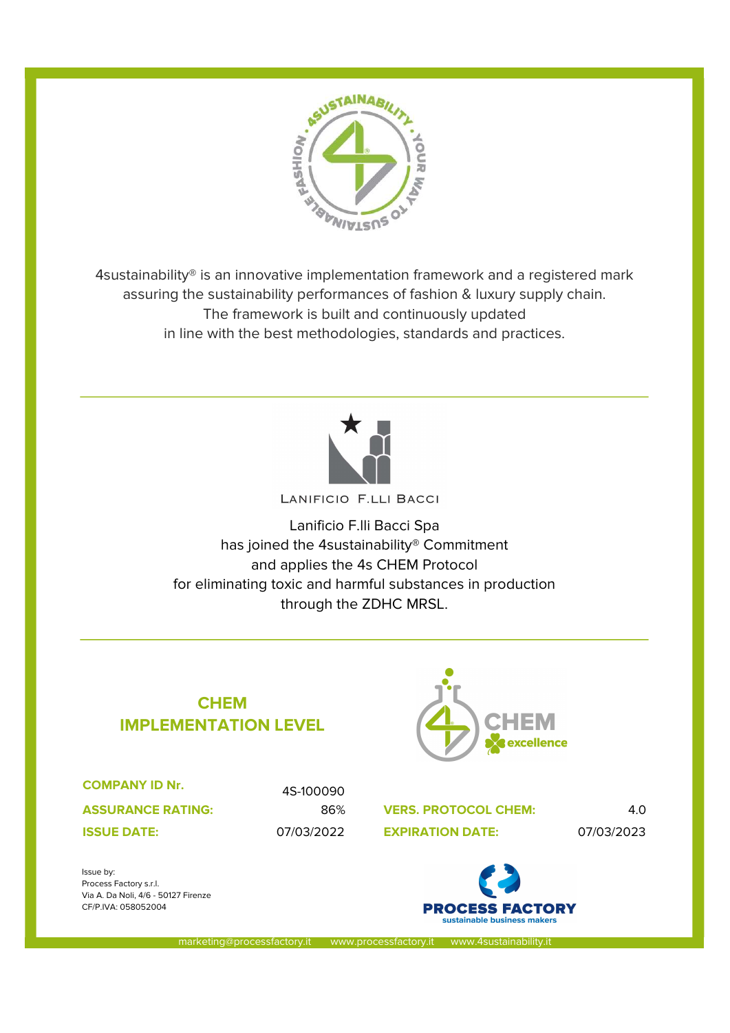

4sustainability® is an innovative implementation framework and a registered mark assuring the sustainability performances of fashion & luxury supply chain. The framework is built and continuously updated in line with the best methodologies, standards and practices.



Lanificio F.lli Bacci Spa has joined the 4sustainability® Commitment and applies the 4s CHEM Protocol for eliminating toxic and harmful substances in production through the ZDHC MRSL.

## **CHEM** IMPLEMENTATION LEVEL



COMPANY ID Nr.

ASSURANCE RATING:

Via A. Da Noli, 4/6 - 50127 Firenze CF/P.IVA: 058052004

Process Factory s.r.l.

Issue by:

4S-100090

86% VERS. PROTOCOL CHEM: 4.0 07/03/2022 07/03/2023 ISSUE DATE: EXPIRATION DATE:



marketing@processfactory.it www.processfactory.it www.4sustainabilit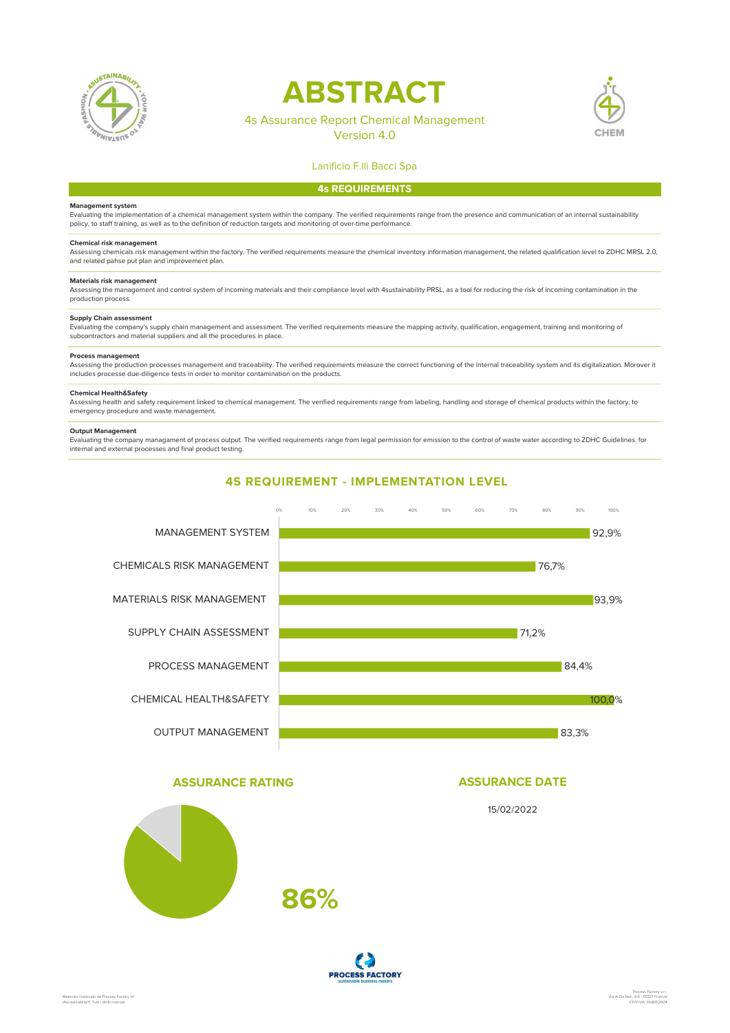

# ABSTRACT

### 4s Assurance Report Chemical Management

Version 4.0



#### Lanificio F.lli Bacci Spa

#### 4s REQUIREMENTS

#### Management system

Evaluating the implementation of a chemical management system within the company. The verified requirements range from the presence and communication of an internal sustainability policy, to staff training, as well as to the definition of reduction targets and monitoring of over-time performance.

#### Chemical risk management

Assessing chemicals risk management within the factory. The verified requirements measure the chemical inventory information management, the related qualification level to ZDHC MRSL 2.0, and related pahse put plan and improvement plan.

#### Materials risk management

Assessing the management and control system of incoming materials and their compliance level with 4sustainability PRSL, as a tool for reducing the risk of incoming contamination in the production process.

#### Supply Chain assessment

Evaluating the company's supply chain management and assessment. The verified requirements measure the mapping activity, qualification, engagement, training and monitoring of<br>subcontractors and material suppliers and all t

#### Process management

Assessing the production processes management and traceability. The verified requirements measure the correct functioning of the internal traceability system and its digitalization. Morover it includes processe due-diligence tests in order to monitor contamination on the products.

#### Chemical Health&Safety

Assessing health and safety requirement linked to chemical management. The verified requirements range from labeling, handling and storage of chemical products within the factory, to emergency procedure and waste management.

#### Output Management

Evaluating the company managament of process output. The verified requirements range from legal permission for emission to the control of waste water according to ZDHC Guidelines. for internal and external processes and final product testing.



#### ASSURANCE RATING

# ASSURANCE DATE

15/02/2022



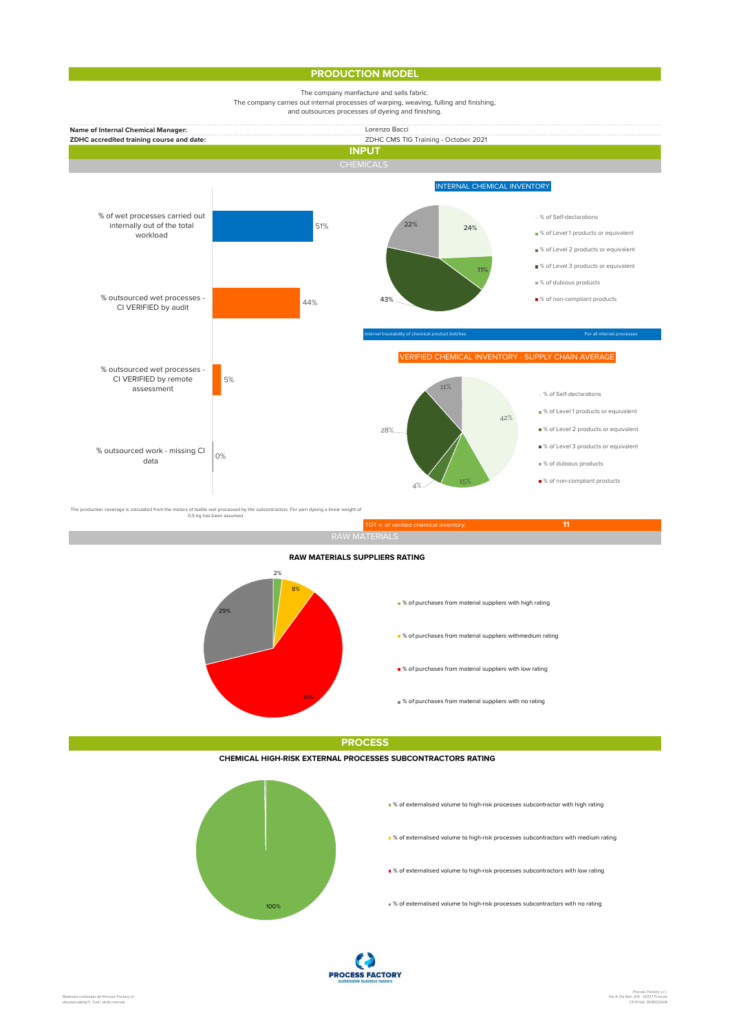#### PRODUCTION MODEL



TOT n. of verified chemical inventory: 11 and 11 and 11 and 11 and 11 and 11 and 11 and 11 and 11 and 11 and 1 2% 8% and the contract of the contract of the contract of the contract of the contract of the contract of the contract of the contract of the contract of the contract of the contract of the contract of the contract of the con 61% % of purchases from material suppliers with no rating 29% RAW MATERIALS SUPPLIERS RATING % of purchases from material suppliers with high rating  $\blacksquare$  % of purchases from material suppliers withmedium rating ■ % of purchases from material suppliers with low rating

**PROCESS** 

CHEMICAL HIGH-RISK EXTERNAL PROCESSES SUBCONTRACTORS RATING



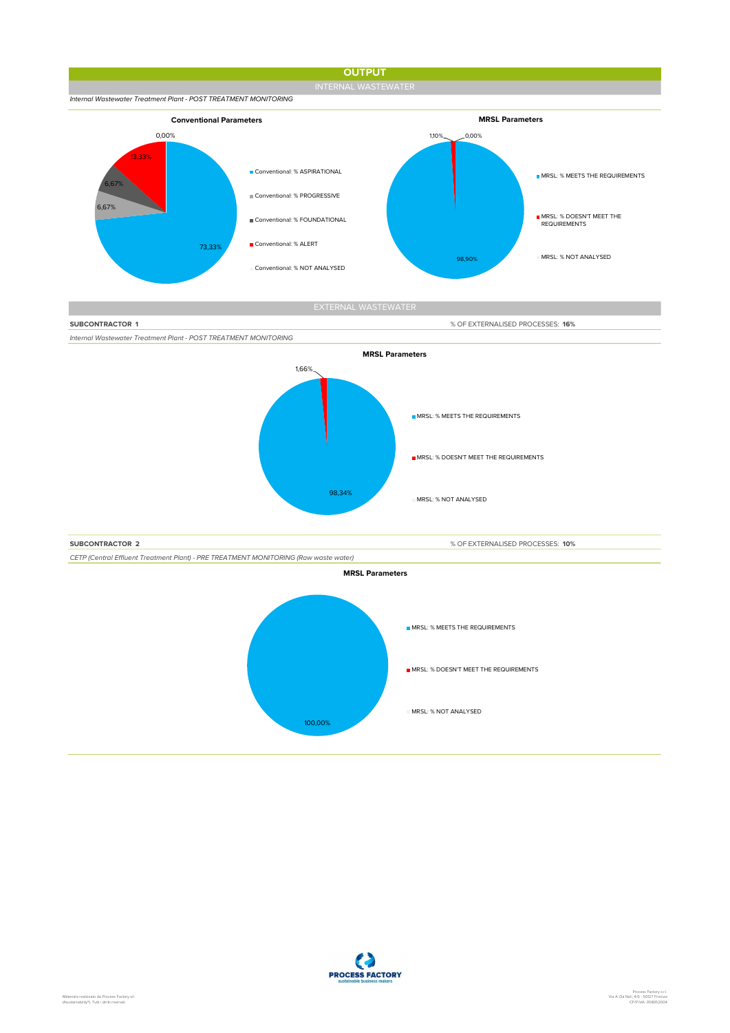